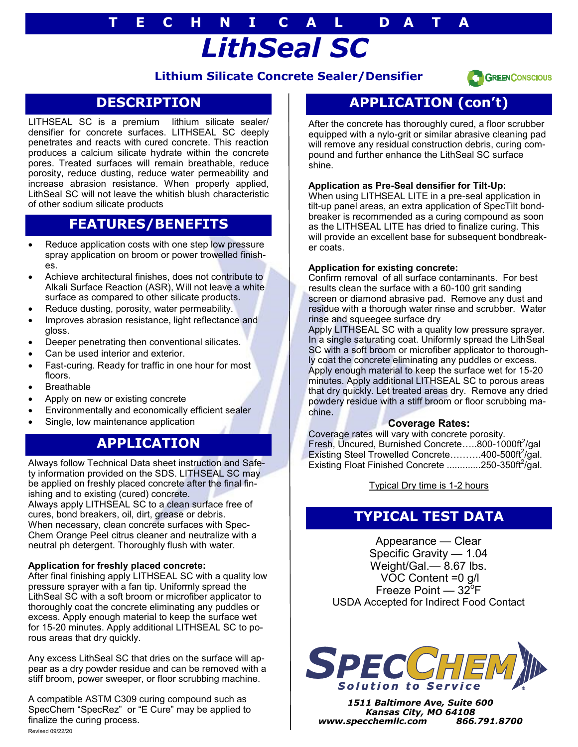# *LithSeal SC* **T E C H N I C A L D A T A**

### **Lithium Silicate Concrete Sealer/Densifier**



### **DESCRIPTION**

LITHSEAL SC is a premium lithium silicate sealer/ densifier for concrete surfaces. LITHSEAL SC deeply penetrates and reacts with cured concrete. This reaction produces a calcium silicate hydrate within the concrete pores. Treated surfaces will remain breathable, reduce porosity, reduce dusting, reduce water permeability and increase abrasion resistance. When properly applied, LithSeal SC will not leave the whitish blush characteristic of other sodium silicate products

## **FEATURES/BENEFITS**

- Reduce application costs with one step low pressure spray application on broom or power trowelled finishes.
- Achieve architectural finishes, does not contribute to Alkali Surface Reaction (ASR), Will not leave a white surface as compared to other silicate products.
- Reduce dusting, porosity, water permeability.
- Improves abrasion resistance, light reflectance and gloss.
- Deeper penetrating then conventional silicates.
- Can be used interior and exterior.
- Fast-curing. Ready for traffic in one hour for most floors.
- **Breathable**
- Apply on new or existing concrete
- Environmentally and economically efficient sealer
- Single, low maintenance application

### **APPLICATION**

Always follow Technical Data sheet instruction and Safety information provided on the SDS. LITHSEAL SC may be applied on freshly placed concrete after the final finishing and to existing (cured) concrete.

Always apply LITHSEAL SC to a clean surface free of cures, bond breakers, oil, dirt, grease or debris. When necessary, clean concrete surfaces with Spec-Chem Orange Peel citrus cleaner and neutralize with a neutral ph detergent. Thoroughly flush with water.

#### **Application for freshly placed concrete:**

After final finishing apply LITHSEAL SC with a quality low pressure sprayer with a fan tip. Uniformly spread the LithSeal SC with a soft broom or microfiber applicator to thoroughly coat the concrete eliminating any puddles or excess. Apply enough material to keep the surface wet for 15-20 minutes. Apply additional LITHSEAL SC to porous areas that dry quickly.

Any excess LithSeal SC that dries on the surface will appear as a dry powder residue and can be removed with a stiff broom, power sweeper, or floor scrubbing machine.

A compatible ASTM C309 curing compound such as SpecChem "SpecRez" or "E Cure" may be applied to finalize the curing process. Revised 09/22/20

# **APPLICATION (con't)**

After the concrete has thoroughly cured, a floor scrubber equipped with a nylo-grit or similar abrasive cleaning pad will remove any residual construction debris, curing compound and further enhance the LithSeal SC surface shine.

#### **Application as Pre-Seal densifier for Tilt-Up:**

When using LITHSEAL LITE in a pre-seal application in tilt-up panel areas, an extra application of SpecTilt bondbreaker is recommended as a curing compound as soon as the LITHSEAL LITE has dried to finalize curing. This will provide an excellent base for subsequent bondbreaker coats.

#### **Application for existing concrete:**

Confirm removal of all surface contaminants. For best results clean the surface with a 60-100 grit sanding screen or diamond abrasive pad. Remove any dust and residue with a thorough water rinse and scrubber. Water rinse and squeegee surface dry

Apply LITHSEAL SC with a quality low pressure sprayer. In a single saturating coat. Uniformly spread the LithSeal SC with a soft broom or microfiber applicator to thoroughly coat the concrete eliminating any puddles or excess. Apply enough material to keep the surface wet for 15-20 minutes. Apply additional LITHSEAL SC to porous areas that dry quickly. Let treated areas dry. Remove any dried powdery residue with a stiff broom or floor scrubbing machine.

#### **Coverage Rates:**

Coverage rates will vary with concrete porosity. Fresh, Uncured, Burnished Concrete.....800-1000ft<sup>2</sup>/gal Existing Steel Trowelled Concrete.........400-500ft<sup>2</sup>/gal. Existing Float Finished Concrete .............250-350ft<sup>2</sup>/gal.

Typical Dry time is 1-2 hours

### **TYPICAL TEST DATA**

Appearance — Clear Specific Gravity — 1.04 Weight/Gal.— 8.67 lbs. VOC Content =0 g/l Freeze Point —  $32^{\circ}$ F USDA Accepted for Indirect Food Contact



*1511 Baltimore Ave, Suite 600 Kansas City, MO 64108 www.specchemllc.com 866.791.8700*